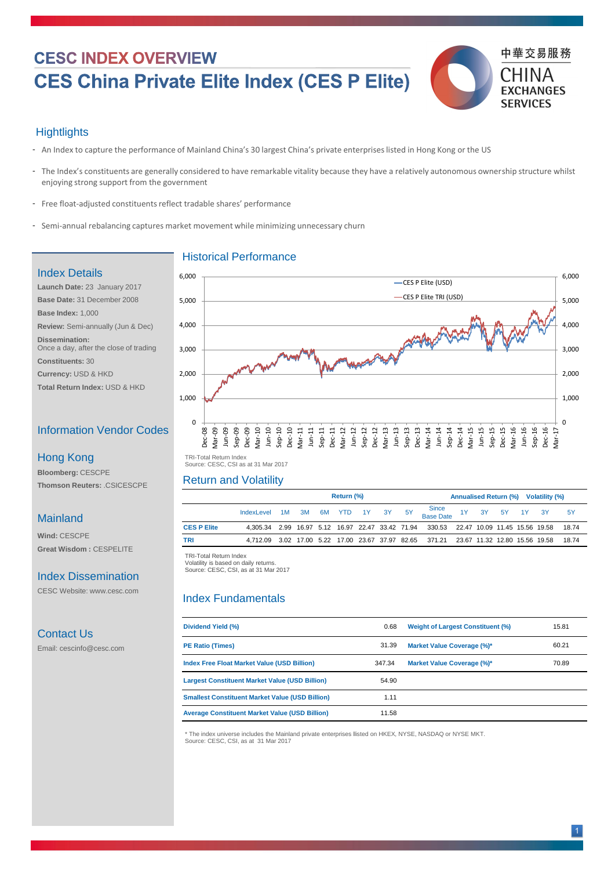# **CESC INDEX OVERVIEW CES China Private Elite Index (CES P Elite)**



#### **Hightlights**

- An Index to capture the performance of Mainland China's 30 largest China's private enterprises listed in Hong Kong or the US
- The Index's constituents are generally considered to have remarkable vitality because they have a relatively autonomous ownership structure whilst enjoying strong support from the government
- Free float-adjusted constituents reflect tradable shares' performance
- Semi-annual rebalancing captures market movement while minimizing unnecessary churn

 TRI -Total Return Index TRI-Total Return Index Volatility is based on daily returns. Volatility is based on daily returns. Source: CESC, CSI, as at 31 Mar 2017

|                    | <b>Return (%)</b>                |  |  |  |  | <b>Annualised Return (%) Volatility (%)</b> |  |                                                                                       |  |  |  |  |           |
|--------------------|----------------------------------|--|--|--|--|---------------------------------------------|--|---------------------------------------------------------------------------------------|--|--|--|--|-----------|
|                    | IndexLevel 1M 3M 6M YTD 1Y 3Y 5Y |  |  |  |  |                                             |  | Since<br>Base Date<br>1Y 3Y 5Y 1Y 3Y                                                  |  |  |  |  | <b>5Y</b> |
| <b>CES P Elite</b> |                                  |  |  |  |  |                                             |  | 4,305.34 2.99 16.97 5.12 16.97 22.47 33.42 71.94 330.53 22.47 10.09 11.45 15.56 19.58 |  |  |  |  | 18.74     |
| <b>TRI</b>         |                                  |  |  |  |  |                                             |  | 4,712.09 3.02 17.00 5.22 17.00 23.67 37.97 82.65 371.21 23.67 11.32 12.80 15.56 19.58 |  |  |  |  | 18.74     |

| <b>Dividend Yield (%)</b>                              | 0.68   | <b>Weight of Largest Constituent (%)</b> | 15.81 |
|--------------------------------------------------------|--------|------------------------------------------|-------|
| <b>PE Ratio (Times)</b>                                | 31.39  | <b>Market Value Coverage (%)*</b>        | 60.21 |
| <b>Index Free Float Market Value (USD Billion)</b>     | 347.34 | <b>Market Value Coverage (%)*</b>        | 70.89 |
| <b>Largest Constituent Market Value (USD Billion)</b>  | 54.90  |                                          |       |
| <b>Smallest Constituent Market Value (USD Billion)</b> | 1.11   |                                          |       |
| <b>Average Constituent Market Value (USD Billion)</b>  | 11.58  |                                          |       |
|                                                        |        |                                          |       |

#### Historical Performance

## Return and Volatility

#### Index Fundamentals



## Index Details

**Launch Date:** 23 January 2017 **Base Date:** 31 December 2008 **Base Index:** 1,000 **Review:** Semi-annually (Jun & Dec) **Dissemination:**  Once a day, after the close of trading

**Constituents:** 30

**Currency:** USD & HKD

**Total Return Index:** USD & HKD

### Information Vendor Codes

**Bloomberg:** CESCPE **Thomson Reuters:** .CSICESCPE

#### Hong Kong

#### Mainland

**Wind:** CESCPE **Great Wisdom :** CESPELITE

#### Index Dissemination

CESC Website: www.cesc.com

#### Contact Us

Email: cescinfo@cesc.com

 TRI -Total Return Index TRI-Total Return Index Source: CESC, CSI as at 31 Mar 2017

\* The index universe includes the Mainland private enterprises llisted on HKEX, NYSE, NASDAQ or NYSE MKT. Source: CESC, CSI, as at 31 Mar 2017